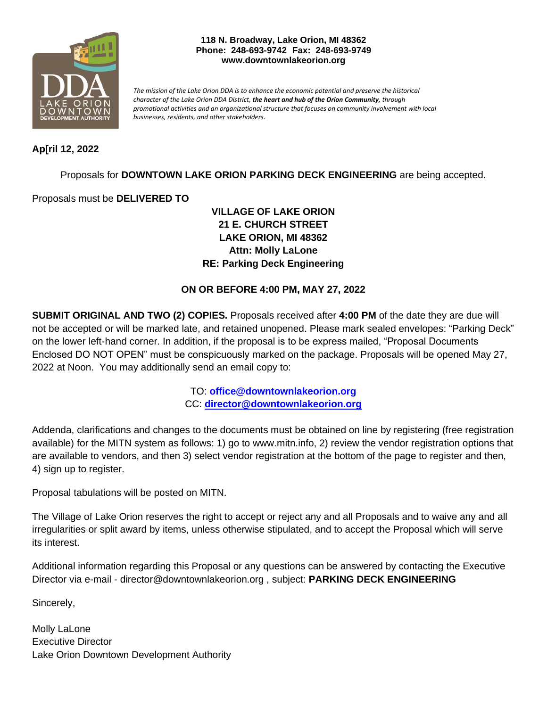

#### **118 N. Broadway, Lake Orion, MI 48362 Phone: 248-693-9742 Fax: 248-693-9749 www.downtownlakeorion.org**

*The mission of the Lake Orion DDA is to enhance the economic potential and preserve the historical character of the Lake Orion DDA District, the heart and hub of the Orion Community, through promotional activities and an organizational structure that focuses on community involvement with local businesses, residents, and other stakeholders.*

## **Ap[ril 12, 2022**

Proposals for **DOWNTOWN LAKE ORION PARKING DECK ENGINEERING** are being accepted.

Proposals must be **DELIVERED TO**

**VILLAGE OF LAKE ORION 21 E. CHURCH STREET LAKE ORION, MI 48362 Attn: Molly LaLone RE: Parking Deck Engineering**

## **ON OR BEFORE 4:00 PM, MAY 27, 2022**

**SUBMIT ORIGINAL AND TWO (2) COPIES.** Proposals received after **4:00 PM** of the date they are due will not be accepted or will be marked late, and retained unopened. Please mark sealed envelopes: "Parking Deck" on the lower left-hand corner. In addition, if the proposal is to be express mailed, "Proposal Documents Enclosed DO NOT OPEN" must be conspicuously marked on the package. Proposals will be opened May 27, 2022 at Noon. You may additionally send an email copy to:

> TO: **office@downtownlakeorion.org** CC: **[director@downtownlakeorion.org](mailto:director@downtownlakeorion.org)**

Addenda, clarifications and changes to the documents must be obtained on line by registering (free registration available) for the MITN system as follows: 1) go to www.mitn.info, 2) review the vendor registration options that are available to vendors, and then 3) select vendor registration at the bottom of the page to register and then, 4) sign up to register.

Proposal tabulations will be posted on MITN.

The Village of Lake Orion reserves the right to accept or reject any and all Proposals and to waive any and all irregularities or split award by items, unless otherwise stipulated, and to accept the Proposal which will serve its interest.

Additional information regarding this Proposal or any questions can be answered by contacting the Executive Director via e-mail - director@downtownlakeorion.org , subject: **PARKING DECK ENGINEERING**

Sincerely,

Molly LaLone Executive Director Lake Orion Downtown Development Authority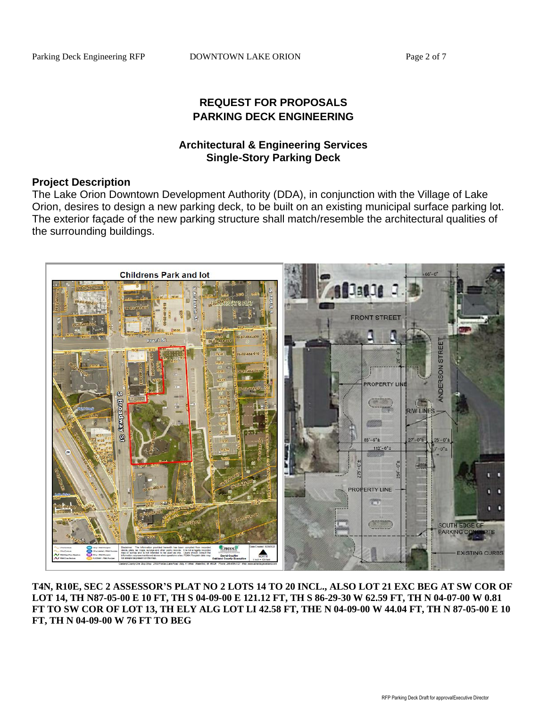# **REQUEST FOR PROPOSALS PARKING DECK ENGINEERING**

## **Architectural & Engineering Services Single-Story Parking Deck**

### **Project Description**

The Lake Orion Downtown Development Authority (DDA), in conjunction with the Village of Lake Orion, desires to design a new parking deck, to be built on an existing municipal surface parking lot. The exterior façade of the new parking structure shall match/resemble the architectural qualities of the surrounding buildings.



**T4N, R10E, SEC 2 ASSESSOR'S PLAT NO 2 LOTS 14 TO 20 INCL., ALSO LOT 21 EXC BEG AT SW COR OF LOT 14, TH N87-05-00 E 10 FT, TH S 04-09-00 E 121.12 FT, TH S 86-29-30 W 62.59 FT, TH N 04-07-00 W 0.81 FT TO SW COR OF LOT 13, TH ELY ALG LOT LI 42.58 FT, THE N 04-09-00 W 44.04 FT, TH N 87-05-00 E 10 FT, TH N 04-09-00 W 76 FT TO BEG**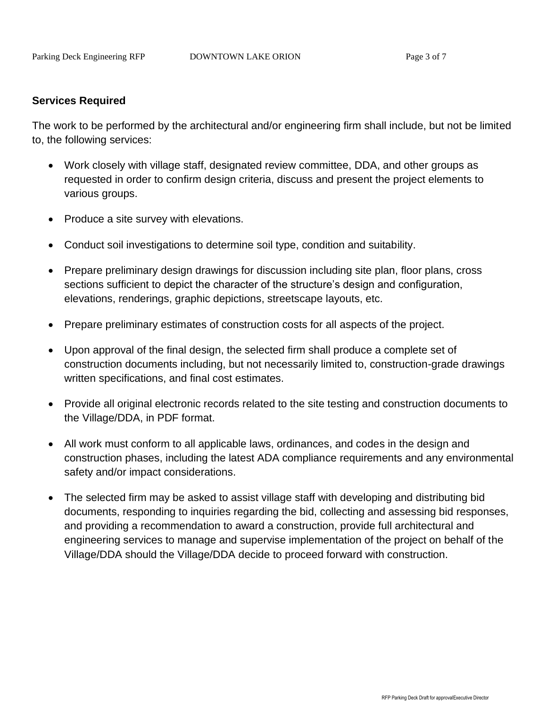### **Services Required**

The work to be performed by the architectural and/or engineering firm shall include, but not be limited to, the following services:

- Work closely with village staff, designated review committee, DDA, and other groups as requested in order to confirm design criteria, discuss and present the project elements to various groups.
- Produce a site survey with elevations.
- Conduct soil investigations to determine soil type, condition and suitability.
- Prepare preliminary design drawings for discussion including site plan, floor plans, cross sections sufficient to depict the character of the structure's design and configuration, elevations, renderings, graphic depictions, streetscape layouts, etc.
- Prepare preliminary estimates of construction costs for all aspects of the project.
- Upon approval of the final design, the selected firm shall produce a complete set of construction documents including, but not necessarily limited to, construction-grade drawings written specifications, and final cost estimates.
- Provide all original electronic records related to the site testing and construction documents to the Village/DDA, in PDF format.
- All work must conform to all applicable laws, ordinances, and codes in the design and construction phases, including the latest ADA compliance requirements and any environmental safety and/or impact considerations.
- The selected firm may be asked to assist village staff with developing and distributing bid documents, responding to inquiries regarding the bid, collecting and assessing bid responses, and providing a recommendation to award a construction, provide full architectural and engineering services to manage and supervise implementation of the project on behalf of the Village/DDA should the Village/DDA decide to proceed forward with construction.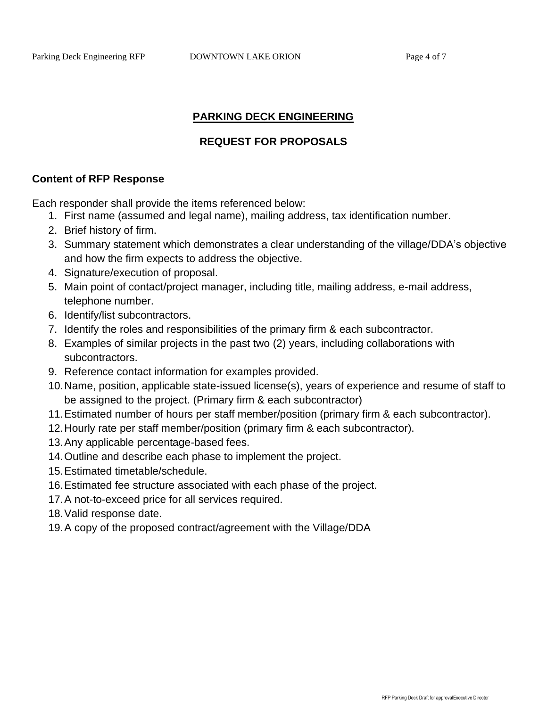## **PARKING DECK ENGINEERING**

### **REQUEST FOR PROPOSALS**

#### **Content of RFP Response**

Each responder shall provide the items referenced below:

- 1. First name (assumed and legal name), mailing address, tax identification number.
- 2. Brief history of firm.
- 3. Summary statement which demonstrates a clear understanding of the village/DDA's objective and how the firm expects to address the objective.
- 4. Signature/execution of proposal.
- 5. Main point of contact/project manager, including title, mailing address, e-mail address, telephone number.
- 6. Identify/list subcontractors.
- 7. Identify the roles and responsibilities of the primary firm & each subcontractor.
- 8. Examples of similar projects in the past two (2) years, including collaborations with subcontractors.
- 9. Reference contact information for examples provided.
- 10.Name, position, applicable state-issued license(s), years of experience and resume of staff to be assigned to the project. (Primary firm & each subcontractor)
- 11.Estimated number of hours per staff member/position (primary firm & each subcontractor).
- 12.Hourly rate per staff member/position (primary firm & each subcontractor).
- 13.Any applicable percentage-based fees.
- 14.Outline and describe each phase to implement the project.
- 15.Estimated timetable/schedule.
- 16.Estimated fee structure associated with each phase of the project.
- 17.A not-to-exceed price for all services required.
- 18.Valid response date.
- 19.A copy of the proposed contract/agreement with the Village/DDA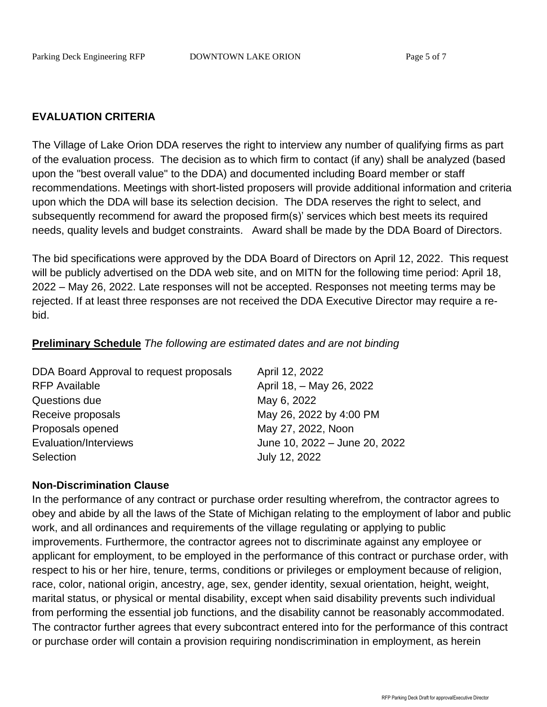## **EVALUATION CRITERIA**

The Village of Lake Orion DDA reserves the right to interview any number of qualifying firms as part of the evaluation process. The decision as to which firm to contact (if any) shall be analyzed (based upon the "best overall value" to the DDA) and documented including Board member or staff recommendations. Meetings with short-listed proposers will provide additional information and criteria upon which the DDA will base its selection decision. The DDA reserves the right to select, and subsequently recommend for award the proposed firm(s)' services which best meets its required needs, quality levels and budget constraints. Award shall be made by the DDA Board of Directors.

The bid specifications were approved by the DDA Board of Directors on April 12, 2022. This request will be publicly advertised on the DDA web site, and on MITN for the following time period: April 18, 2022 – May 26, 2022. Late responses will not be accepted. Responses not meeting terms may be rejected. If at least three responses are not received the DDA Executive Director may require a rebid.

### **Preliminary Schedule** *The following are estimated dates and are not binding*

| DDA Board Approval to request proposals | April 12, 2022                |
|-----------------------------------------|-------------------------------|
| <b>RFP Available</b>                    | April 18, - May 26, 2022      |
| Questions due                           | May 6, 2022                   |
| Receive proposals                       | May 26, 2022 by 4:00 PM       |
| Proposals opened                        | May 27, 2022, Noon            |
| Evaluation/Interviews                   | June 10, 2022 - June 20, 2022 |
| Selection                               | July 12, 2022                 |

### **Non-Discrimination Clause**

In the performance of any contract or purchase order resulting wherefrom, the contractor agrees to obey and abide by all the laws of the State of Michigan relating to the employment of labor and public work, and all ordinances and requirements of the village regulating or applying to public improvements. Furthermore, the contractor agrees not to discriminate against any employee or applicant for employment, to be employed in the performance of this contract or purchase order, with respect to his or her hire, tenure, terms, conditions or privileges or employment because of religion, race, color, national origin, ancestry, age, sex, gender identity, sexual orientation, height, weight, marital status, or physical or mental disability, except when said disability prevents such individual from performing the essential job functions, and the disability cannot be reasonably accommodated. The contractor further agrees that every subcontract entered into for the performance of this contract or purchase order will contain a provision requiring nondiscrimination in employment, as herein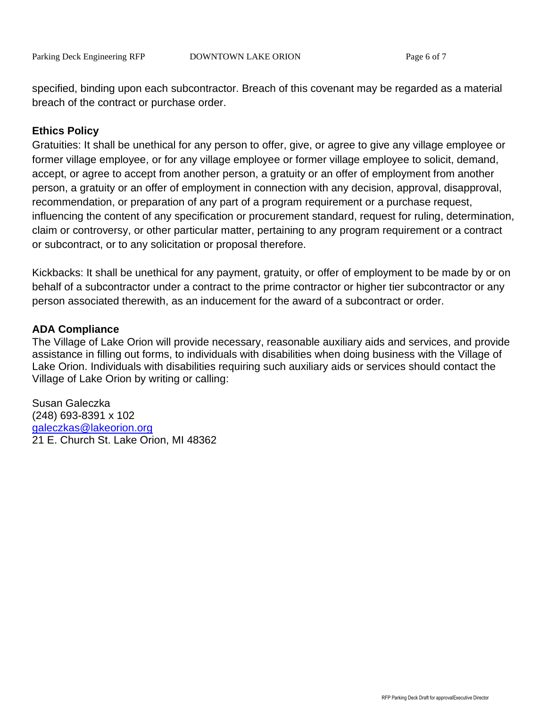specified, binding upon each subcontractor. Breach of this covenant may be regarded as a material breach of the contract or purchase order.

## **Ethics Policy**

Gratuities: It shall be unethical for any person to offer, give, or agree to give any village employee or former village employee, or for any village employee or former village employee to solicit, demand, accept, or agree to accept from another person, a gratuity or an offer of employment from another person, a gratuity or an offer of employment in connection with any decision, approval, disapproval, recommendation, or preparation of any part of a program requirement or a purchase request, influencing the content of any specification or procurement standard, request for ruling, determination, claim or controversy, or other particular matter, pertaining to any program requirement or a contract or subcontract, or to any solicitation or proposal therefore.

Kickbacks: It shall be unethical for any payment, gratuity, or offer of employment to be made by or on behalf of a subcontractor under a contract to the prime contractor or higher tier subcontractor or any person associated therewith, as an inducement for the award of a subcontract or order.

### **ADA Compliance**

The Village of Lake Orion will provide necessary, reasonable auxiliary aids and services, and provide assistance in filling out forms, to individuals with disabilities when doing business with the Village of Lake Orion. Individuals with disabilities requiring such auxiliary aids or services should contact the Village of Lake Orion by writing or calling:

Susan Galeczka (248) 693-8391 x 102 [galeczkas@lakeorion.org](mailto:galeczkas@lakeorion.org) 21 E. Church St. Lake Orion, MI 48362